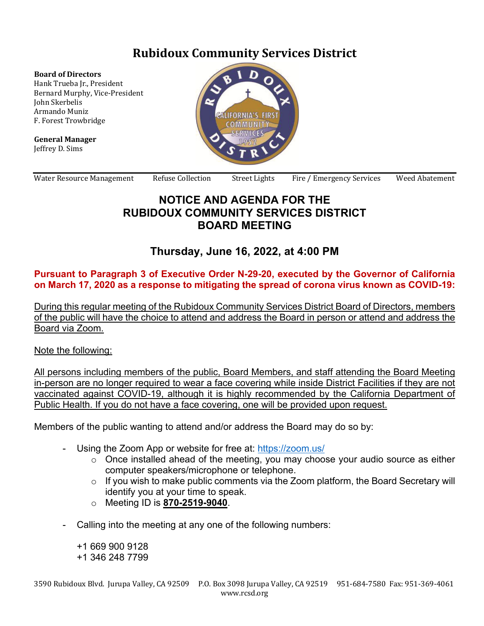# **Rubidoux Community Services District**

#### **Board of Directors**

Hank Trueba Jr., President Bernard Murphy, Vice-President John Skerbelis Armando Muniz F. Forest Trowbridge

**General Manager** Jeffrey D. Sims



Water Resource Management Refuse Collection Street Lights Fire / Emergency Services Weed Abatement

### **NOTICE AND AGENDA FOR THE RUBIDOUX COMMUNITY SERVICES DISTRICT BOARD MEETING**

## **Thursday, June 16, 2022, at 4:00 PM**

#### **Pursuant to Paragraph 3 of Executive Order N-29-20, executed by the Governor of California on March 17, 2020 as a response to mitigating the spread of corona virus known as COVID-19:**

During this regular meeting of the Rubidoux Community Services District Board of Directors, members of the public will have the choice to attend and address the Board in person or attend and address the Board via Zoom.

Note the following:

All persons including members of the public, Board Members, and staff attending the Board Meeting in-person are no longer required to wear a face covering while inside District Facilities if they are not vaccinated against COVID-19, although it is highly recommended by the California Department of Public Health. If you do not have a face covering, one will be provided upon request.

Members of the public wanting to attend and/or address the Board may do so by:

- Using the Zoom App or website for free at: https://zoom.us/
	- o Once installed ahead of the meeting, you may choose your audio source as either computer speakers/microphone or telephone.
	- o If you wish to make public comments via the Zoom platform, the Board Secretary will identify you at your time to speak.
	- o Meeting ID is **870-2519-9040**.
- Calling into the meeting at any one of the following numbers:

+1 669 900 9128 +1 346 248 7799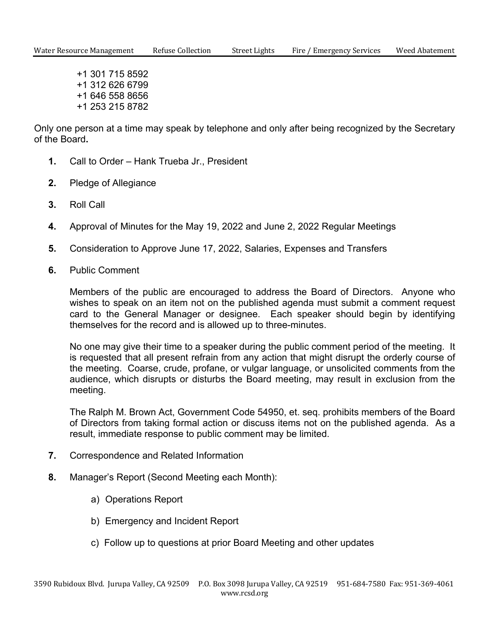+1 301 715 8592 +1 312 626 6799 +1 646 558 8656 +1 253 215 8782

Only one person at a time may speak by telephone and only after being recognized by the Secretary of the Board**.** 

- **1.** Call to Order Hank Trueba Jr., President
- **2.** Pledge of Allegiance
- **3.** Roll Call
- **4.** Approval of Minutes for the May 19, 2022 and June 2, 2022 Regular Meetings
- **5.** Consideration to Approve June 17, 2022, Salaries, Expenses and Transfers
- **6.** Public Comment

 Members of the public are encouraged to address the Board of Directors. Anyone who wishes to speak on an item not on the published agenda must submit a comment request card to the General Manager or designee. Each speaker should begin by identifying themselves for the record and is allowed up to three-minutes.

 No one may give their time to a speaker during the public comment period of the meeting. It is requested that all present refrain from any action that might disrupt the orderly course of the meeting. Coarse, crude, profane, or vulgar language, or unsolicited comments from the audience, which disrupts or disturbs the Board meeting, may result in exclusion from the meeting.

 The Ralph M. Brown Act, Government Code 54950, et. seq. prohibits members of the Board of Directors from taking formal action or discuss items not on the published agenda. As a result, immediate response to public comment may be limited.

- **7.** Correspondence and Related Information
- **8.** Manager's Report (Second Meeting each Month):
	- a) Operations Report
	- b) Emergency and Incident Report
	- c) Follow up to questions at prior Board Meeting and other updates